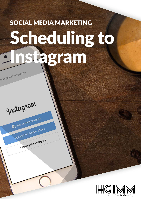## SOCIAL MEDIA MARKETING Scheduling to Instagramglish (United Kingdom) ~



Sign up With Email or Phone

Already Use Instagram